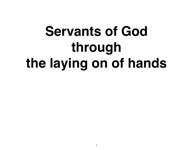# **Servants of God through the laying on of hands**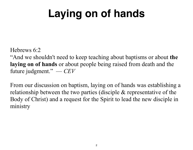# **Laying on of hands**

Hebrews 6:2

"And we shouldn't need to keep teaching about baptisms or about **the laying on of hands** or about people being raised from death and the future judgment." — *CEV*

From our discussion on baptism, laying on of hands was establishing a relationship between the two parties (disciple & representative of the Body of Christ) and a request for the Spirit to lead the new disciple in ministry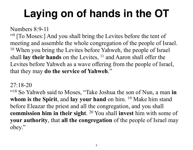# **Laying on of hands in the OT**

Numbers 8:9-11

"9 [To Moses:] And you shall bring the Levites before the tent of meeting and assemble the whole congregation of the people of Israel. <sup>10</sup> When you bring the Levites before Yahweh, the people of Israel shall **lay their hands** on the Levites, <sup>11</sup> and Aaron shall offer the Levites before Yahweh as a wave offering from the people of Israel, that they may **do the service of Yahweh**."

27:18-20

"18 So Yahweh said to Moses, "Take Joshua the son of Nun, a man **in whom is the Spirit**, and **lay your hand** on him. 19 Make him stand before Eleazar the priest and all the congregation, and you shall **commission him in their sight**. 20 You shall **invest** him with some of **your authority**, that **all the congregation** of the people of Israel may obey."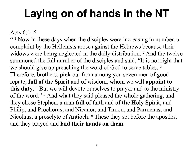## **Laying on of hands in the NT**

Acts 6:1–6

 $\cdot$   $\cdot$  1 Now in these days when the disciples were increasing in number, a complaint by the Hellenists arose against the Hebrews because their widows were being neglected in the daily distribution. <sup>2</sup> And the twelve summoned the full number of the disciples and said, "It is not right that we should give up preaching the word of God to serve tables.<sup>3</sup> Therefore, brothers, **pick** out from among you seven men of good repute, **full of the Spirit** and of wisdom, whom we will **appoint to this duty**. 4 But we will devote ourselves to prayer and to the ministry of the word."<sup>5</sup> And what they said pleased the whole gathering, and they chose Stephen, a man **full** of faith and **of the Holy Spirit**, and Philip, and Prochorus, and Nicanor, and Timon, and Parmenas, and Nicolaus, a proselyte of Antioch. 6 These they set before the apostles, and they prayed and **laid their hands on them**.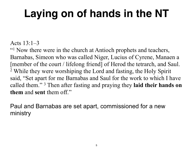# **Laying on of hands in the NT**

#### Acts 13:1–3

"<sup>1</sup> Now there were in the church at Antioch prophets and teachers, Barnabas, Simeon who was called Niger, Lucius of Cyrene, Manaen a [member of the court / lifelong friend] of Herod the tetrarch, and Saul. 2 While they were worshiping the Lord and fasting, the Holy Spirit said, "Set apart for me Barnabas and Saul for the work to which I have called them." 3 Then after fasting and praying they **laid their hands on them** and **sent** them off."

Paul and Barnabas are set apart, commissioned for a new ministry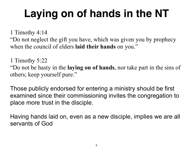# **Laying on of hands in the NT**

1 Timothy 4:14

"Do not neglect the gift you have, which was given you by prophecy when the council of elders **laid their hands** on you."

1 Timothy 5:22

"Do not be hasty in the **laying on of hands**, nor take part in the sins of others; keep yourself pure."

Those publicly endorsed for entering a ministry should be first examined since their commissioning invites the congregation to place more trust in the disciple.

Having hands laid on, even as a new disciple, implies we are all servants of God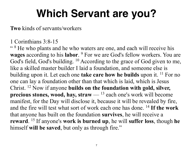**Two** kinds of servants/workers

1 Corinthians 3:8-15

"<sup>8</sup> He who plants and he who waters are one, and each will receive his **wages** according to his **labor**. 9 For we are God's fellow workers. You are God's field, God's building. <sup>10</sup> According to the grace of God given to me, like a skilled master builder I laid a foundation, and someone else is building upon it. Let each one **take care how he builds** upon it. <sup>11</sup> For no one can lay a foundation other than that which is laid, which is Jesus Christ. 12 Now if anyone **builds on the foundation with gold, silver, precious stones, wood, hay, straw** — 13 each one's work will become manifest, for the Day will disclose it, because it will be revealed by fire, and the fire will test what sort of work each one has done. 14 **If the work** that anyone has built on the foundation **survives**, he will receive a **reward**. 15 If anyone's **work is burned up**, he will **suffer loss**, though **he** himself **will be saved**, but only as through fire."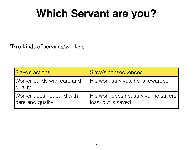**Two** kinds of servants/workers

| Slave's actions                                | Slave's consequences                                        |
|------------------------------------------------|-------------------------------------------------------------|
| Worker builds with care and<br><b>quality</b>  | His work survives, he is rewarded                           |
| Worker does not build with<br>care and quality | His work does not survive, he suffers<br>loss, but is saved |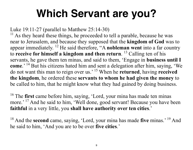Luke 19:11-27 (parallel to Matthew 25:14-30)

 $11$  As they heard these things, he proceeded to tell a parable, because he was near to Jerusalem, and because they supposed that the **kingdom of God** was to appear immediately. 12 He said therefore, "A **nobleman went** into a far country to **receive for himself a kingdom and then return**. 13 Calling ten of his servants, he gave them ten minas, and said to them, 'Engage in **business until I come**.' 14 But his citizens hated him and sent a delegation after him, saying, 'We do not want this man to reign over us.' 15 When he **returned**, having **received the kingdom**, he ordered these **servants to whom he had given the money** to be called to him, that he might know what they had gained by doing business.

<sup>16</sup> The first came before him, saying, 'Lord, your mina has made ten minas more.' <sup>17</sup> And he said to him, 'Well done, good servant! Because you have been **faithful** in a very little, you **shall have authority over ten cities**.'

<sup>18</sup> And the **second** came, saying, 'Lord, your mina has made five minas.' <sup>19</sup> And he said to him, 'And you are to be over **five cities**.'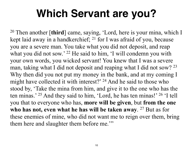20 Then another [**third**] came, saying, 'Lord, here is your mina, which I kept laid away in a handkerchief; 21 for I was afraid of you, because you are a severe man. You take what you did not deposit, and reap what you did not sow.' <sup>22</sup> He said to him, 'I will condemn you with your own words, you wicked servant! You knew that I was a severe man, taking what I did not deposit and reaping what I did not sow? <sup>23</sup> Why then did you not put my money in the bank, and at my coming I might have collected it with interest?' <sup>24</sup> And he said to those who stood by, 'Take the mina from him, and give it to the one who has the ten minas.' 25 And they said to him, 'Lord, he has ten minas!' 26 'I tell you that to everyone who has, **more will be given**, but **from the one**  who has not, even what he has will be taken away. <sup>27</sup> But as for these enemies of mine, who did not want me to reign over them, bring them here and slaughter them before me."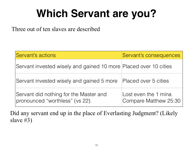Three out of ten slaves are described

| Servant's actions                                                         | Servant's consequences                        |
|---------------------------------------------------------------------------|-----------------------------------------------|
| Servant invested wisely and gained 10 more Placed over 10 cities          |                                               |
| Servant invested wisely and gained 5 more                                 | Placed over 5 cities                          |
| Servant did nothing for the Master and<br>pronounced "worthless" (vs 22). | Lost even the 1 mina<br>Compare Matthew 25:30 |

Did any servant end up in the place of Everlasting Judgment? (Likely slave #3)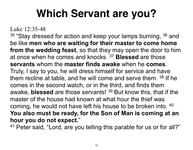Luke 12:35-48

 $35$  "Stay dressed for action and keep your lamps burning,  $36$  and be like **men who are waiting for their master to come home from the wedding feast**, so that they may open the door to him at once when he comes and knocks. 37 **Blessed** are those **servants** whom the **master finds awake** when he **comes**. Truly, I say to you, he will dress himself for service and have them recline at table, and he will come and serve them. 38 If he comes in the second watch, or in the third, and finds them awake, **blessed** are those servants! 39 But know this, that if the master of the house had known at what hour the thief was coming, he would not have left his house to be broken into. 40 **You also must be ready, for the Son of Man is coming at an hour you do not expect.**"

41 Peter said, "Lord, are you telling this parable for us or for all?"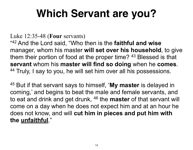Luke 12:35-48 (**Four** servants)

"42 And the Lord said, "Who then is the **faithful and wise** manager, whom his master **will set over his household**, to give them their portion of food at the proper time? 43 Blessed is that **servant** whom his **master will find so doing** when he **comes**. 44 Truly, I say to you, he will set him over all his possessions.

45 But if that servant says to himself, '**My master** is delayed in coming,' and begins to beat the male and female servants, and to eat and drink and get drunk, 46 the **master** of that servant will come on a day when he does not expect him and at an hour he does not know, and will **cut him in pieces and put him with the unfaithful**."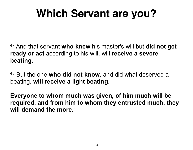47 And that servant **who knew** his master's will but **did not get ready or act** according to his will, will **receive a severe beating**.

48 But the one **who did not know**, and did what deserved a beating, **will receive a light beating**.

**Everyone to whom much was given, of him much will be required, and from him to whom they entrusted much, they will demand the more.**"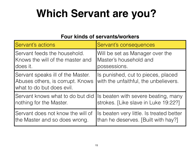#### **Four kinds of servants/workers**

| Servant's actions                                                                                  | Servant's consequences                                                      |
|----------------------------------------------------------------------------------------------------|-----------------------------------------------------------------------------|
| Servant feeds the household.                                                                       | Will be set as Manager over the                                             |
| Knows the will of the master and                                                                   | Master's household and                                                      |
| does it.                                                                                           | possessions.                                                                |
| Servant speaks ill of the Master.<br>Abuses others, is corrupt. Knows<br>what to do but does evil. | Is punished, cut to pieces, placed<br>with the unfaithful, the unbelievers. |
| Servant knows what to do but did                                                                   | Is beaten with severe beating, many                                         |
| nothing for the Master.                                                                            | strokes. [Like slave in Luke 19:22?]                                        |
| Servant does not know the will of                                                                  | Is beaten very little. Is treated better                                    |
| the Master and so does wrong.                                                                      | than he deserves. [Built with hay?]                                         |